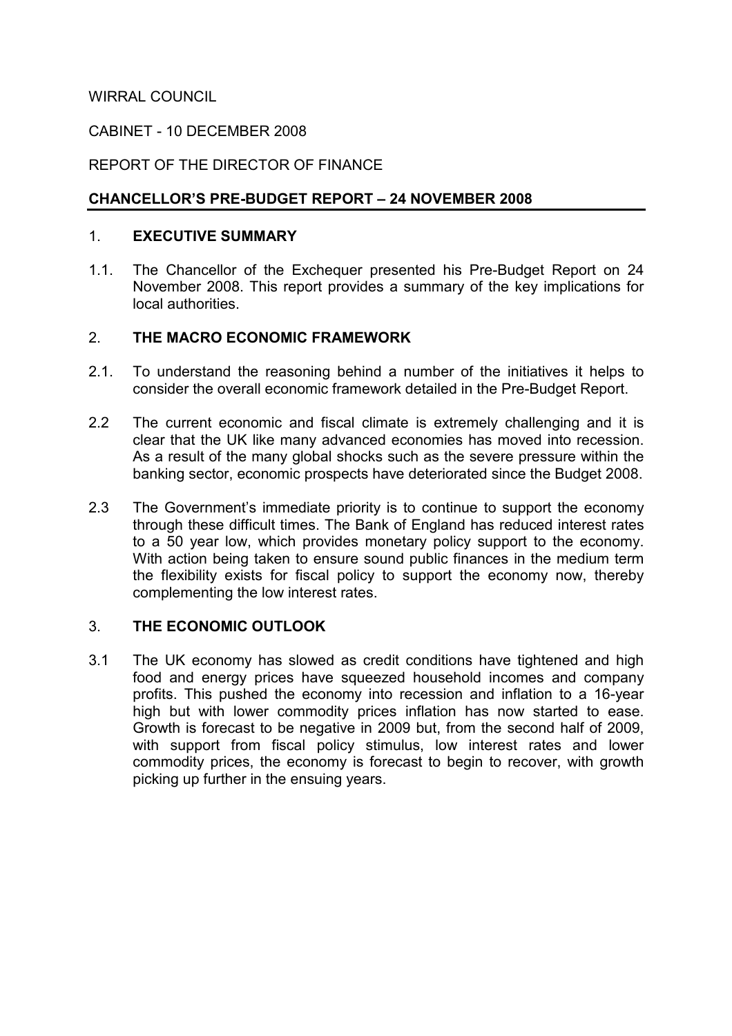WIRRAL COUNCIL

### CABINET - 10 DECEMBER 2008

## REPORT OF THE DIRECTOR OF FINANCE

## CHANCELLOR'S PRE-BUDGET REPORT – 24 NOVEMBER 2008

#### 1. EXECUTIVE SUMMARY

1.1. The Chancellor of the Exchequer presented his Pre-Budget Report on 24 November 2008. This report provides a summary of the key implications for local authorities.

### 2. THE MACRO ECONOMIC FRAMEWORK

- 2.1. To understand the reasoning behind a number of the initiatives it helps to consider the overall economic framework detailed in the Pre-Budget Report.
- 2.2 The current economic and fiscal climate is extremely challenging and it is clear that the UK like many advanced economies has moved into recession. As a result of the many global shocks such as the severe pressure within the banking sector, economic prospects have deteriorated since the Budget 2008.
- 2.3 The Government's immediate priority is to continue to support the economy through these difficult times. The Bank of England has reduced interest rates to a 50 year low, which provides monetary policy support to the economy. With action being taken to ensure sound public finances in the medium term the flexibility exists for fiscal policy to support the economy now, thereby complementing the low interest rates.

### 3. THE ECONOMIC OUTLOOK

3.1 The UK economy has slowed as credit conditions have tightened and high food and energy prices have squeezed household incomes and company profits. This pushed the economy into recession and inflation to a 16-year high but with lower commodity prices inflation has now started to ease. Growth is forecast to be negative in 2009 but, from the second half of 2009, with support from fiscal policy stimulus, low interest rates and lower commodity prices, the economy is forecast to begin to recover, with growth picking up further in the ensuing years.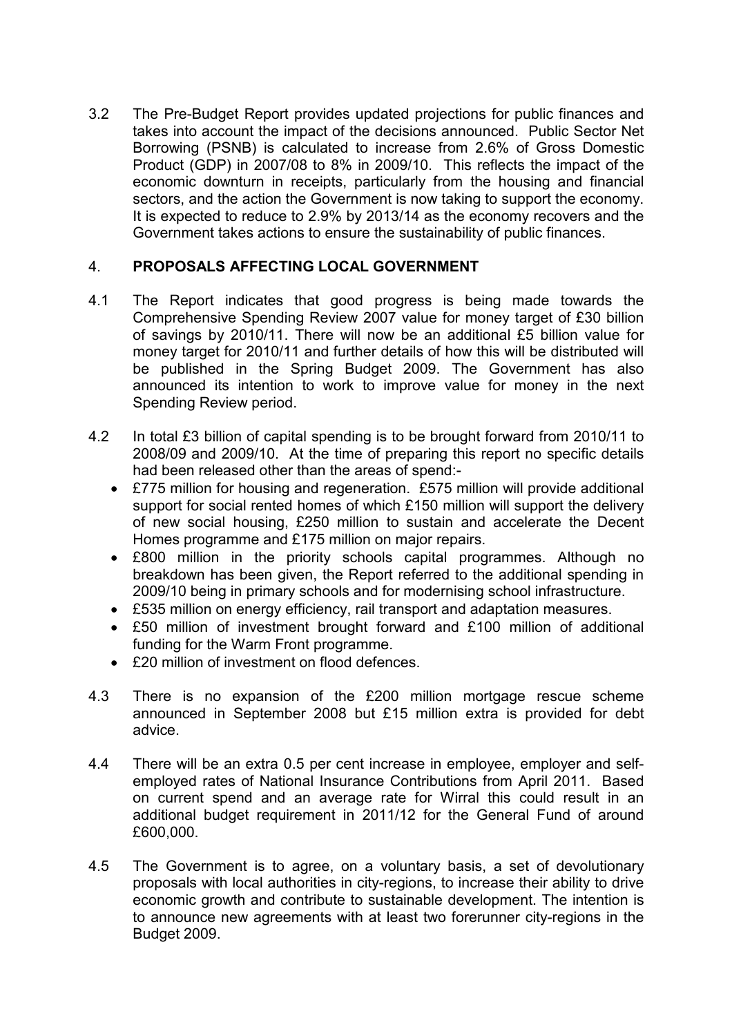3.2 The Pre-Budget Report provides updated projections for public finances and takes into account the impact of the decisions announced. Public Sector Net Borrowing (PSNB) is calculated to increase from 2.6% of Gross Domestic Product (GDP) in 2007/08 to 8% in 2009/10. This reflects the impact of the economic downturn in receipts, particularly from the housing and financial sectors, and the action the Government is now taking to support the economy. It is expected to reduce to 2.9% by 2013/14 as the economy recovers and the Government takes actions to ensure the sustainability of public finances.

## 4. PROPOSALS AFFECTING LOCAL GOVERNMENT

- 4.1 The Report indicates that good progress is being made towards the Comprehensive Spending Review 2007 value for money target of £30 billion of savings by 2010/11. There will now be an additional £5 billion value for money target for 2010/11 and further details of how this will be distributed will be published in the Spring Budget 2009. The Government has also announced its intention to work to improve value for money in the next Spending Review period.
- 4.2 In total £3 billion of capital spending is to be brought forward from 2010/11 to 2008/09 and 2009/10. At the time of preparing this report no specific details had been released other than the areas of spend:-
	- £775 million for housing and regeneration. £575 million will provide additional support for social rented homes of which £150 million will support the delivery of new social housing, £250 million to sustain and accelerate the Decent Homes programme and £175 million on major repairs.
	- £800 million in the priority schools capital programmes. Although no breakdown has been given, the Report referred to the additional spending in 2009/10 being in primary schools and for modernising school infrastructure.
	- £535 million on energy efficiency, rail transport and adaptation measures.
	- £50 million of investment brought forward and £100 million of additional funding for the Warm Front programme.
	- £20 million of investment on flood defences.
- 4.3 There is no expansion of the £200 million mortgage rescue scheme announced in September 2008 but £15 million extra is provided for debt advice.
- 4.4 There will be an extra 0.5 per cent increase in employee, employer and selfemployed rates of National Insurance Contributions from April 2011. Based on current spend and an average rate for Wirral this could result in an additional budget requirement in 2011/12 for the General Fund of around £600,000.
- 4.5 The Government is to agree, on a voluntary basis, a set of devolutionary proposals with local authorities in city-regions, to increase their ability to drive economic growth and contribute to sustainable development. The intention is to announce new agreements with at least two forerunner city-regions in the Budget 2009.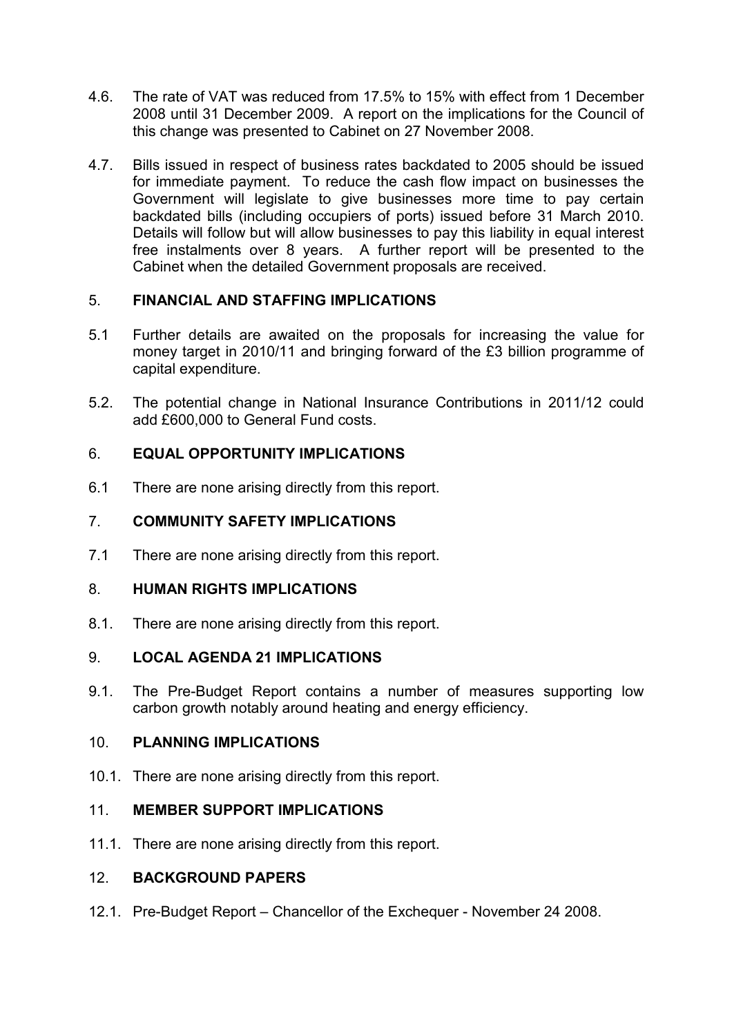- 4.6. The rate of VAT was reduced from 17.5% to 15% with effect from 1 December 2008 until 31 December 2009. A report on the implications for the Council of this change was presented to Cabinet on 27 November 2008.
- 4.7. Bills issued in respect of business rates backdated to 2005 should be issued for immediate payment. To reduce the cash flow impact on businesses the Government will legislate to give businesses more time to pay certain backdated bills (including occupiers of ports) issued before 31 March 2010. Details will follow but will allow businesses to pay this liability in equal interest free instalments over 8 years. A further report will be presented to the Cabinet when the detailed Government proposals are received.

# 5. FINANCIAL AND STAFFING IMPLICATIONS

- 5.1 Further details are awaited on the proposals for increasing the value for money target in 2010/11 and bringing forward of the £3 billion programme of capital expenditure.
- 5.2. The potential change in National Insurance Contributions in 2011/12 could add £600,000 to General Fund costs.

## 6. EQUAL OPPORTUNITY IMPLICATIONS

6.1 There are none arising directly from this report.

# 7. COMMUNITY SAFETY IMPLICATIONS

7.1 There are none arising directly from this report.

### 8. HUMAN RIGHTS IMPLICATIONS

8.1. There are none arising directly from this report.

### 9. LOCAL AGENDA 21 IMPLICATIONS

9.1. The Pre-Budget Report contains a number of measures supporting low carbon growth notably around heating and energy efficiency.

### 10. PLANNING IMPLICATIONS

10.1. There are none arising directly from this report.

### 11. MEMBER SUPPORT IMPLICATIONS

11.1. There are none arising directly from this report.

### 12. BACKGROUND PAPERS

12.1. Pre-Budget Report – Chancellor of the Exchequer - November 24 2008.